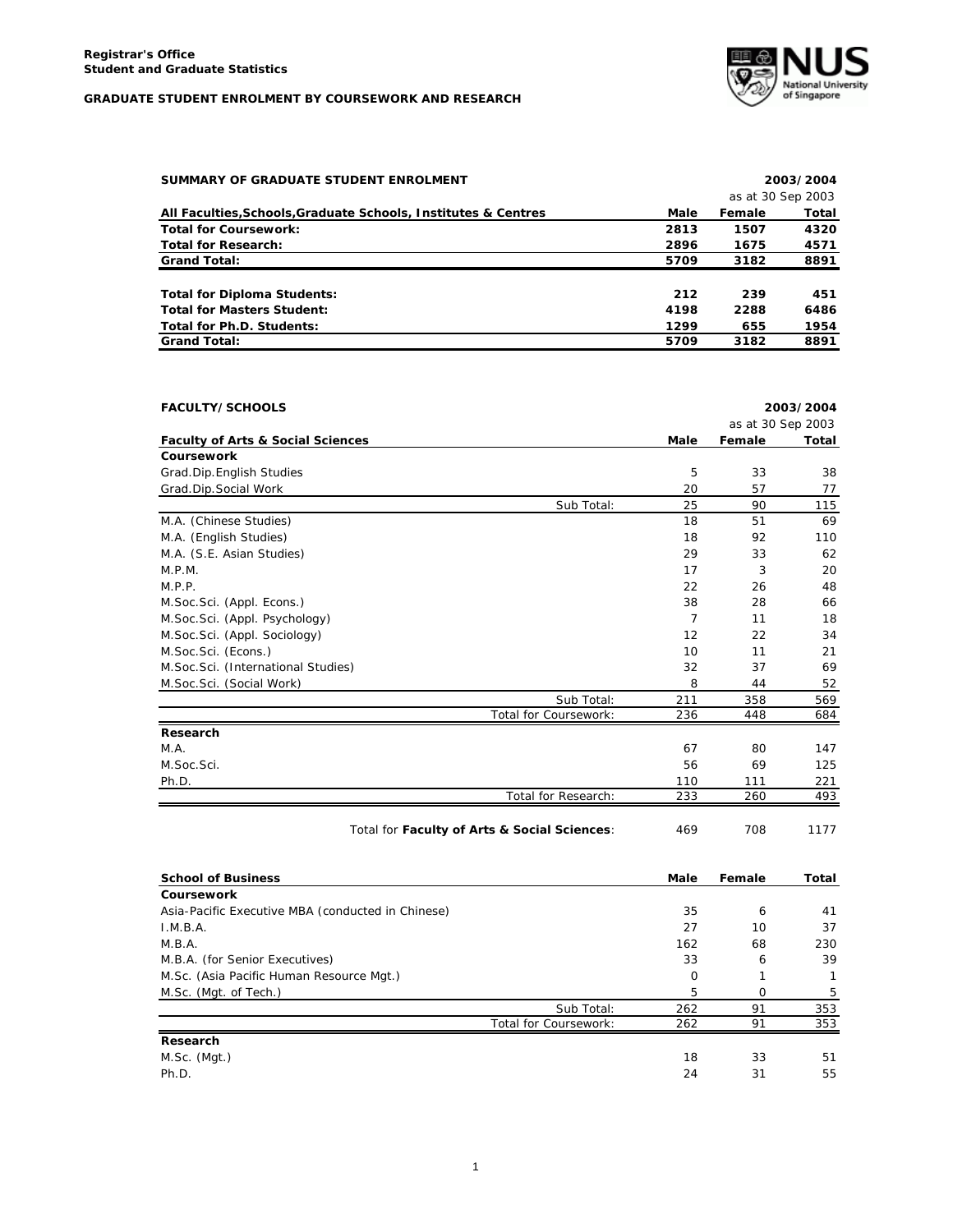

| SUMMARY OF GRADUATE STUDENT ENROLMENT                          | 2003/2004 |        |                   |  |
|----------------------------------------------------------------|-----------|--------|-------------------|--|
|                                                                |           |        | as at 30 Sep 2003 |  |
| All Faculties, Schools, Graduate Schools, Institutes & Centres | Male      | Female | Total             |  |
| <b>Total for Coursework:</b>                                   | 2813      | 1507   | 4320              |  |
| <b>Total for Research:</b>                                     | 2896      | 1675   | 4571              |  |
| <b>Grand Total:</b>                                            | 5709      | 3182   | 8891              |  |
|                                                                |           |        |                   |  |
| <b>Total for Diploma Students:</b>                             | 212       | 239    | 451               |  |
| <b>Total for Masters Student:</b>                              | 4198      | 2288   | 6486              |  |
| Total for Ph.D. Students:                                      | 1299      | 655    | 1954              |  |
| <b>Grand Total:</b>                                            | 5709      | 3182   | 8891              |  |

| FACULTY/SCHOOLS                              |                |                   | 2003/2004 |
|----------------------------------------------|----------------|-------------------|-----------|
|                                              |                | as at 30 Sep 2003 |           |
| <b>Faculty of Arts &amp; Social Sciences</b> | Male           | Female            | Total     |
| Coursework                                   |                |                   |           |
| Grad.Dip.English Studies                     | 5              | 33                | 38        |
| Grad.Dip.Social Work                         | 20             | 57                | 77        |
| Sub Total:                                   | 25             | 90                | 115       |
| M.A. (Chinese Studies)                       | 18             | 51                | 69        |
| M.A. (English Studies)                       | 18             | 92                | 110       |
| M.A. (S.E. Asian Studies)                    | 29             | 33                | 62        |
| M.P.M.                                       | 17             | 3                 | 20        |
| M.P.P.                                       | 22             | 26                | 48        |
| M.Soc.Sci. (Appl. Econs.)                    | 38             | 28                | 66        |
| M.Soc.Sci. (Appl. Psychology)                | $\overline{7}$ | 11                | 18        |
| M. Soc. Sci. (Appl. Sociology)               | 12             | 22                | 34        |
| M.Soc.Sci. (Econs.)                          | 10             | 11                | 21        |
| M.Soc.Sci. (International Studies)           | 32             | 37                | 69        |
| M.Soc.Sci. (Social Work)                     | 8              | 44                | 52        |
| Sub Total:                                   | 211            | 358               | 569       |
| Total for Coursework:                        | 236            | 448               | 684       |
| Research                                     |                |                   |           |
| M.A.                                         | 67             | 80                | 147       |
| M.Soc.Sci.                                   | 56             | 69                | 125       |
| Ph.D.                                        | 110            | 111               | 221       |
| Total for Research:                          | 233            | 260               | 493       |
| Total for Faculty of Arts & Social Sciences: | 469            | 708               | 1177      |
| <b>School of Business</b>                    | Male           | Female            | Total     |

|                       |     |     | .   |
|-----------------------|-----|-----|-----|
|                       |     |     |     |
|                       | 35  | 6   | 41  |
|                       | 27  | 10  | 37  |
|                       | 162 | 68  | 230 |
|                       | 33  | 6   | 39  |
|                       | 0   |     |     |
|                       | 5   | Ω   | 5   |
| Sub Total:            | 262 | 91  | 353 |
| Total for Coursework: | 262 | 91  | 353 |
|                       |     |     |     |
|                       | 18  | 33  | 51  |
|                       | 24  | 31  | 55  |
|                       |     | wav | .   |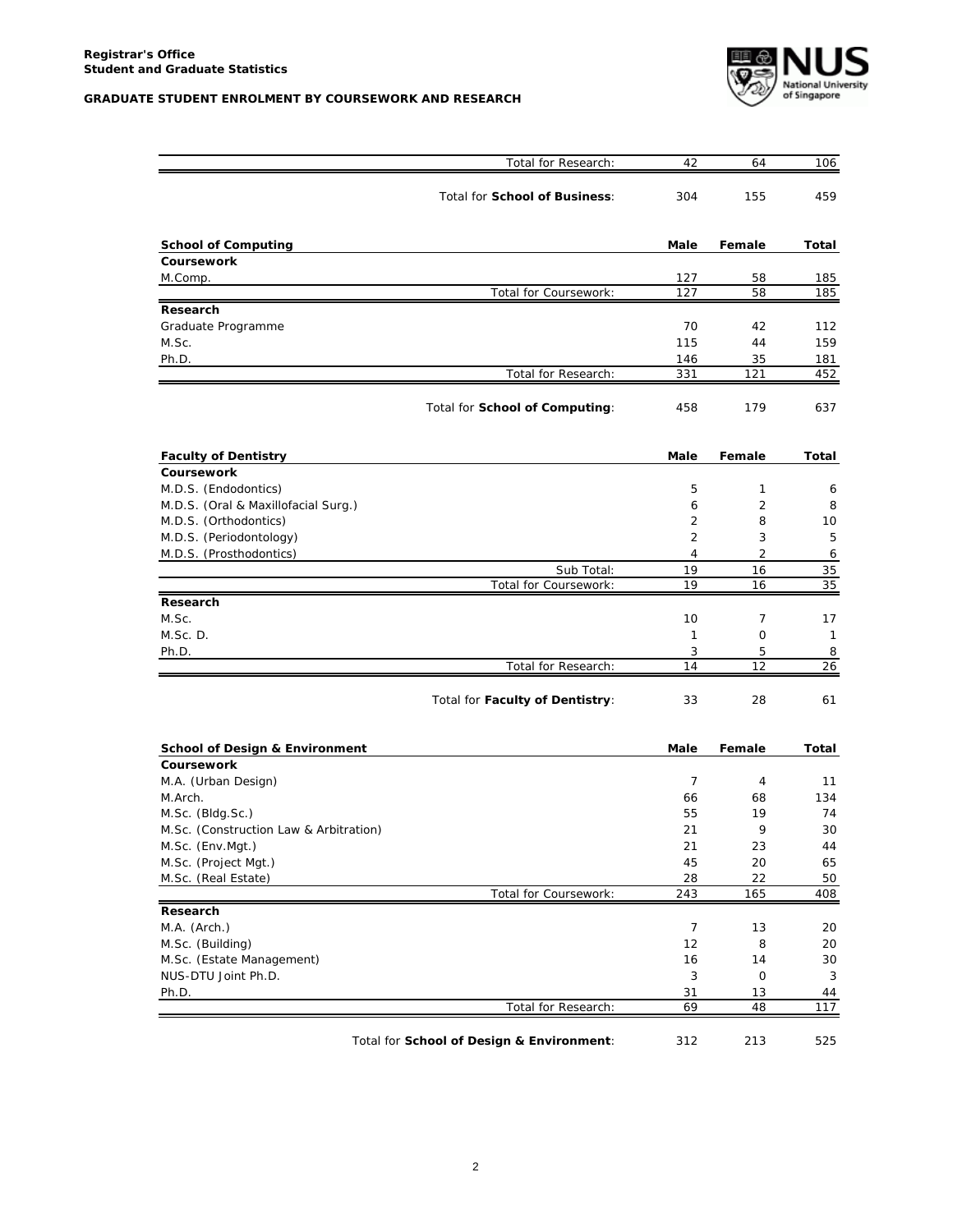

|                                           | Total for Research:                       | 42             | 64             | 106                |
|-------------------------------------------|-------------------------------------------|----------------|----------------|--------------------|
|                                           | Total for School of Business:             | 304            | 155            | 459                |
| <b>School of Computing</b>                |                                           | Male           | Female         | Total              |
| Coursework                                |                                           |                |                |                    |
| M.Comp.                                   |                                           | 127            | 58             | 185                |
|                                           | Total for Coursework:                     | 127            | 58             | 185                |
| Research                                  |                                           |                |                |                    |
| Graduate Programme                        |                                           | 70             | 42             | 112                |
| M.Sc.                                     |                                           | 115            | 44             | 159                |
| Ph.D.                                     |                                           | 146            | 35             | 181                |
|                                           | Total for Research:                       | 331            | 121            | 452                |
|                                           | Total for School of Computing:            | 458            | 179            | 637                |
| <b>Faculty of Dentistry</b>               |                                           | Male           | Female         | Total              |
| Coursework                                |                                           |                |                |                    |
| M.D.S. (Endodontics)                      |                                           | 5              | 1              | 6                  |
| M.D.S. (Oral & Maxillofacial Surg.)       |                                           | 6              | 2              | 8                  |
| M.D.S. (Orthodontics)                     |                                           | 2              | 8              | 10                 |
| M.D.S. (Periodontology)                   |                                           | $\overline{2}$ | 3              | 5                  |
| M.D.S. (Prosthodontics)                   |                                           | $\overline{4}$ | $\overline{2}$ | 6                  |
|                                           | Sub Total:                                | 19             | 16             | 35                 |
|                                           | Total for Coursework:                     | 19             | 16             | 35                 |
| Research                                  |                                           |                |                |                    |
| M.Sc.<br>M.Sc.D.                          |                                           | 10<br>1        | 7<br>0         | 17<br>$\mathbf{1}$ |
| Ph.D.                                     |                                           | 3              | 5              | 8                  |
|                                           | Total for Research:                       | 14             | 12             | 26                 |
|                                           | Total for Faculty of Dentistry:           | 33             | 28             | 61                 |
| <b>School of Design &amp; Environment</b> |                                           | Male           | Female         | Total              |
| Coursework                                |                                           |                |                |                    |
| M.A. (Urban Design)                       |                                           | $\overline{7}$ | 4              | 11                 |
| M.Arch.                                   |                                           | 66             | 68             | 134                |
| M.Sc. (Bldg.Sc.)                          |                                           | 55             | 19             | 74                 |
| M.Sc. (Construction Law & Arbitration)    |                                           | 21<br>21       | 9<br>23        | 30                 |
| M.Sc. (Env.Mgt.)<br>M.Sc. (Project Mgt.)  |                                           | 45             | 20             | 44<br>65           |
| M.Sc. (Real Estate)                       |                                           | 28             | 22             | 50                 |
|                                           | Total for Coursework:                     | 243            | 165            | 408                |
| Research                                  |                                           |                |                |                    |
| M.A. (Arch.)                              |                                           | 7              | 13             | 20                 |
| M.Sc. (Building)                          |                                           | 12             | 8              | 20                 |
| M.Sc. (Estate Management)                 |                                           | 16             | 14             | 30                 |
| NUS-DTU Joint Ph.D.                       |                                           | 3              | 0              | 3                  |
| Ph.D.                                     |                                           | 31             | 13             | 44                 |
|                                           | Total for Research:                       | 69             | 48             | 117                |
|                                           | Total for School of Design & Environment: | 312            | 213            | 525                |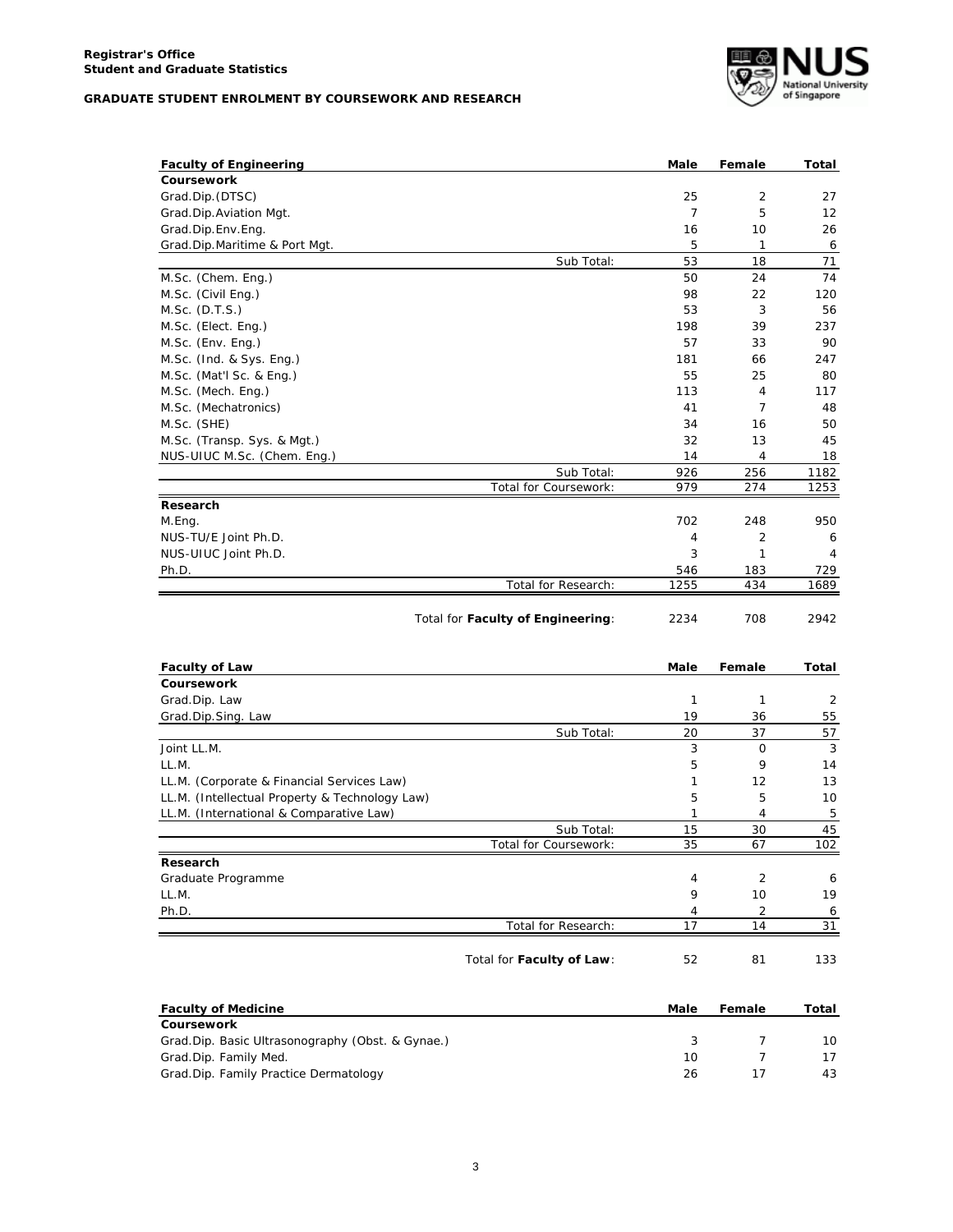

| <b>Faculty of Engineering</b>                                             | Male           | Female             | Total           |
|---------------------------------------------------------------------------|----------------|--------------------|-----------------|
| Coursework                                                                |                |                    |                 |
| Grad.Dip.(DTSC)                                                           | 25             | 2                  | 27              |
| Grad.Dip.Aviation Mgt.                                                    | $\overline{7}$ | 5                  | 12 <sup>2</sup> |
| Grad.Dip.Env.Eng.                                                         | 16             | 10                 | 26              |
| Grad.Dip.Maritime & Port Mgt.                                             | 5<br>53        | $\mathbf{1}$<br>18 | 6<br>71         |
| Sub Total:<br>M.Sc. (Chem. Eng.)                                          | 50             | 24                 | 74              |
| M.Sc. (Civil Eng.)                                                        | 98             | 22                 | 120             |
| M.Sc. (D.T.S.)                                                            | 53             | 3                  | 56              |
| M.Sc. (Elect. Eng.)                                                       | 198            | 39                 | 237             |
| M.Sc. (Env. Eng.)                                                         | 57             | 33                 | 90              |
| M.Sc. (Ind. & Sys. Eng.)                                                  | 181            | 66                 | 247             |
| M.Sc. (Mat'l Sc. & Eng.)                                                  | 55             | 25                 | 80              |
| M.Sc. (Mech. Eng.)                                                        | 113            | 4                  | 117             |
| M.Sc. (Mechatronics)                                                      | 41             | $\overline{7}$     | 48              |
| M.Sc. (SHE)                                                               | 34             | 16                 | 50              |
| M.Sc. (Transp. Sys. & Mgt.)                                               | 32             | 13                 | 45              |
| NUS-UIUC M.Sc. (Chem. Eng.)                                               | 14             | $\overline{4}$     | 18              |
| Sub Total:                                                                | 926            | 256                | 1182            |
| Total for Coursework:                                                     | 979            | 274                | 1253            |
| Research                                                                  |                |                    |                 |
| M.Eng.                                                                    | 702            | 248                | 950             |
| NUS-TU/E Joint Ph.D.<br>NUS-UIUC Joint Ph.D.                              | 4<br>3         | 2<br>1             | 6<br>4          |
| Ph.D.                                                                     | 546            | 183                | 729             |
| Total for Research:                                                       | 1255           | 434                | 1689            |
|                                                                           |                |                    |                 |
|                                                                           |                |                    |                 |
| Total for Faculty of Engineering:                                         | 2234           | 708                | 2942            |
| <b>Faculty of Law</b>                                                     | Male           | Female             | Total           |
| Coursework                                                                |                |                    |                 |
| Grad.Dip. Law                                                             | 1              | $\mathbf{1}$       | $\overline{2}$  |
| Grad.Dip.Sing. Law                                                        | 19             | 36                 | 55              |
| Sub Total:                                                                | 20             | 37                 | 57              |
| Joint LL.M.                                                               | 3              | 0                  | 3               |
| LL.M.                                                                     | 5              | 9                  | 14              |
| LL.M. (Corporate & Financial Services Law)                                | 1              | 12                 | 13              |
| LL.M. (Intellectual Property & Technology Law)                            | 5              | 5                  | 10              |
| LL.M. (International & Comparative Law)                                   | 1              | 4                  | 5               |
| Sub Total:<br>Total for Coursework:                                       | 15<br>35       | 30<br>67           | 45<br>102       |
| Research                                                                  |                |                    |                 |
|                                                                           | 4              | 2                  | 6               |
| Graduate Programme<br>LL.M.                                               | 9              | 10                 | 19              |
| Ph.D.                                                                     | 4              | $\overline{2}$     | 6               |
| Total for Research:                                                       | 17             | 14                 | 31              |
| Total for Faculty of Law:                                                 | 52             | 81                 | 133             |
| <b>Faculty of Medicine</b>                                                | Male           | Female             | Total           |
| Coursework                                                                |                |                    |                 |
| Grad.Dip. Basic Ultrasonography (Obst. & Gynae.)<br>Grad.Dip. Family Med. | 3              | 7                  | 10              |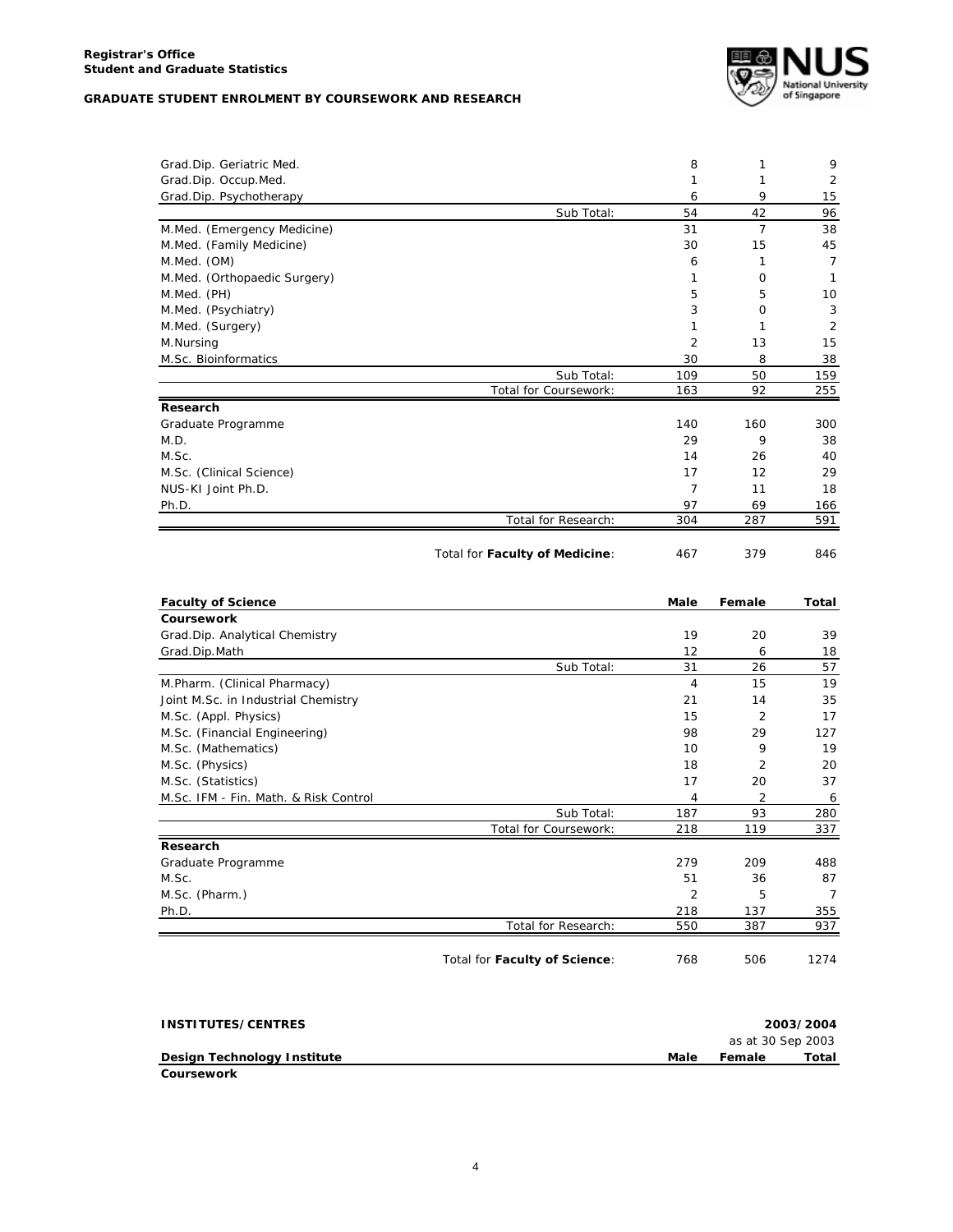

| Grad Dip. Geriatric Med.                |                                | 8              | 1              | 9              |
|-----------------------------------------|--------------------------------|----------------|----------------|----------------|
| Grad.Dip. Occup.Med.                    |                                | 1              | 1              | 2              |
| Grad.Dip. Psychotherapy                 |                                | 6              | 9              | 15             |
|                                         | Sub Total:                     | 54             | 42             | 96             |
| M.Med. (Emergency Medicine)             |                                | 31             | $\overline{7}$ | 38             |
| M.Med. (Family Medicine)                |                                | 30             | 15             | 45             |
| M.Med. (OM)                             |                                | 6              | 1              | 7              |
| M.Med. (Orthopaedic Surgery)            |                                | 1              | 0              | $\mathbf{1}$   |
| M.Med. (PH)                             |                                | 5              | 5              | 10             |
| M.Med. (Psychiatry)                     |                                | 3              | $\mathbf 0$    | 3              |
| M.Med. (Surgery)                        |                                | 1              | 1              | 2              |
| M.Nursing                               |                                | 2              | 13             | 15             |
| M.Sc. Bioinformatics                    |                                | 30             | 8              | 38             |
|                                         | Sub Total:                     | 109            | 50             | 159            |
|                                         | Total for Coursework:          | 163            | 92             | 255            |
| Research                                |                                |                |                |                |
| Graduate Programme                      |                                | 140            | 160            | 300            |
| M.D.                                    |                                | 29             | 9              | 38             |
| M.Sc.                                   |                                | 14             | 26             | 40             |
| M.Sc. (Clinical Science)                |                                | 17             | 12             | 29             |
| NUS-KI Joint Ph.D.                      |                                | 7              | 11             | 18             |
| Ph.D.                                   |                                | 97             | 69             | 166            |
|                                         | Total for Research:            | 304            | 287            | 591            |
|                                         | Total for Faculty of Medicine: | 467            | 379            | 846            |
|                                         |                                |                |                |                |
|                                         |                                | Male           | Female         | Total          |
| <b>Faculty of Science</b><br>Coursework |                                |                |                |                |
| Grad.Dip. Analytical Chemistry          |                                | 19             | 20             | 39             |
| Grad.Dip.Math                           |                                | 12             | 6              | 18             |
|                                         | Sub Total:                     | 31             | 26             | 57             |
| M.Pharm. (Clinical Pharmacy)            |                                | $\overline{4}$ | 15             | 19             |
| Joint M.Sc. in Industrial Chemistry     |                                | 21             | 14             | 35             |
| M.Sc. (Appl. Physics)                   |                                | 15             | 2              | 17             |
| M.Sc. (Financial Engineering)           |                                | 98             | 29             | 127            |
| M.Sc. (Mathematics)                     |                                | 10             | 9              | 19             |
| M.Sc. (Physics)                         |                                | 18             | 2              | 20             |
| M.Sc. (Statistics)                      |                                | 17             | 20             | 37             |
| M.Sc. IFM - Fin. Math. & Risk Control   |                                | 4              | 2              | 6              |
|                                         | Sub Total:                     | 187            | 93             | 280            |
|                                         | Total for Coursework:          | 218            | 119            | 337            |
| Research                                |                                |                |                |                |
| Graduate Programme                      |                                | 279            | 209            | 488            |
| M.Sc.                                   |                                | 51             | 36             | 87             |
| M.Sc. (Pharm.)                          |                                | $\overline{2}$ | 5              | $\overline{7}$ |
| Ph.D.                                   |                                | 218            | 137            | 355            |
|                                         | Total for Research:            | 550            | 387            | 937            |

| <b>INSTITUTES/CENTRES</b>   |      |        | 2003/2004         |
|-----------------------------|------|--------|-------------------|
|                             |      |        | as at 30 Sep 2003 |
| Design Technology Institute | Male | Female | Total             |
| Coursework                  |      |        |                   |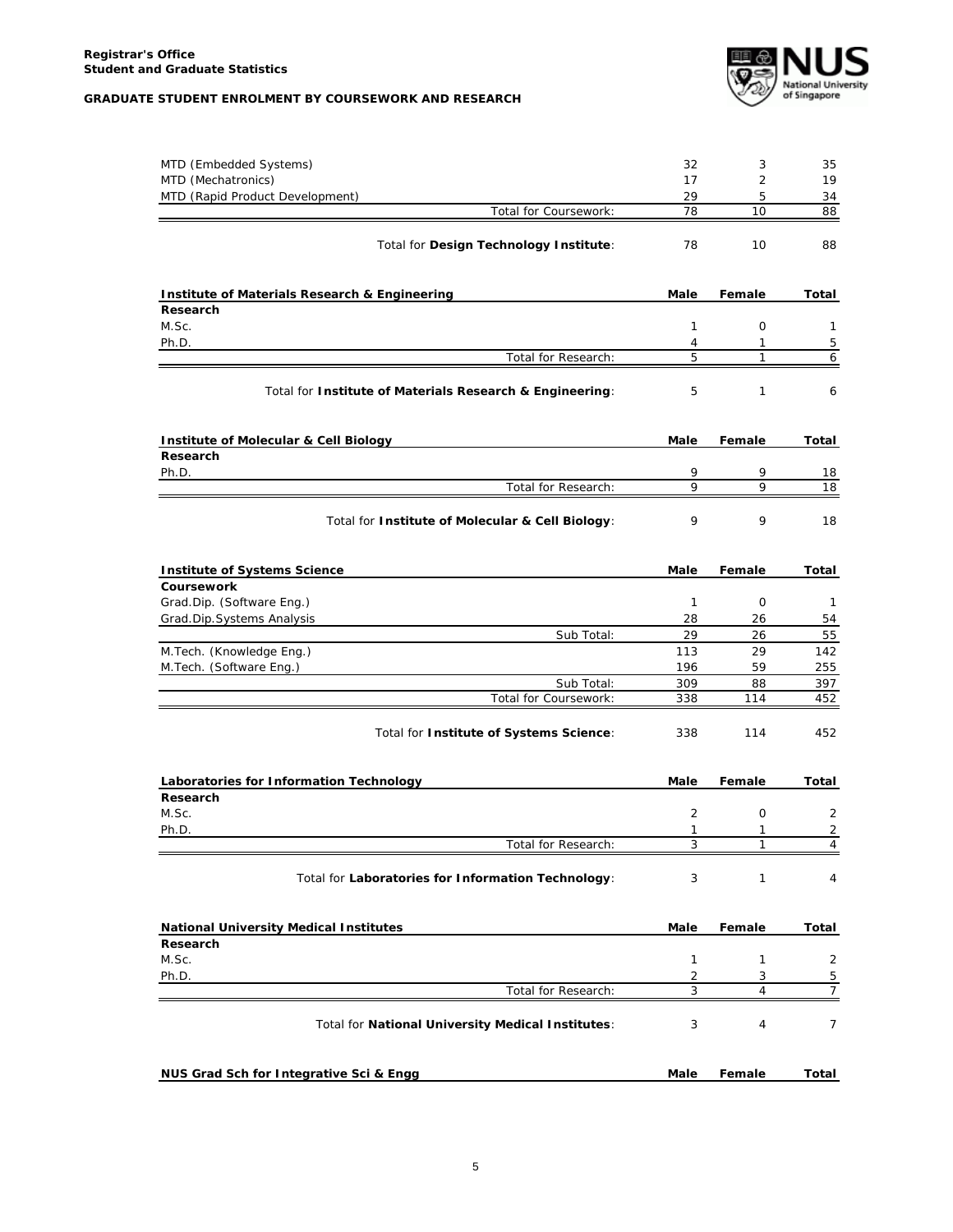

| MTD (Embedded Systems)                                   | 32           | 3                 | 35             |
|----------------------------------------------------------|--------------|-------------------|----------------|
| MTD (Mechatronics)                                       | 17           | $\overline{2}$    | 19             |
| MTD (Rapid Product Development)                          | 29           | 5                 | 34             |
| Total for Coursework:                                    | 78           | 10                | 88             |
|                                                          |              |                   |                |
| Total for Design Technology Institute:                   | 78           | 10                | 88             |
|                                                          |              |                   |                |
| Institute of Materials Research & Engineering            | Male         | Female            | Total          |
| Research                                                 |              |                   |                |
| M.Sc.                                                    | $\mathbf{1}$ | $\mathbf 0$       | 1              |
| Ph.D.<br>Total for Research:                             | 4<br>5       | 1<br>$\mathbf{1}$ | 5              |
|                                                          |              |                   | 6              |
| Total for Institute of Materials Research & Engineering: | 5            | $\mathbf{1}$      | 6              |
| Institute of Molecular & Cell Biology                    | Male         | Female            | Total          |
| Research                                                 |              |                   |                |
| Ph.D.                                                    | 9            | 9                 | 18             |
| Total for Research:                                      | 9            | $\mathsf{Q}$      | 18             |
| Total for Institute of Molecular & Cell Biology:         | 9            | 9                 | 18             |
|                                                          |              | Female            |                |
| <b>Institute of Systems Science</b><br>Coursework        | Male         |                   | Total          |
| Grad.Dip. (Software Eng.)                                | 1            | 0                 | $\mathbf{1}$   |
| Grad.Dip.Systems Analysis                                | 28           | 26                | 54             |
| Sub Total:                                               | 29           | 26                | 55             |
| M. Tech. (Knowledge Eng.)                                | 113          | 29                | 142            |
| M.Tech. (Software Eng.)                                  | 196          | 59                | 255            |
| Sub Total:                                               | 309          | 88                | 397            |
| Total for Coursework:                                    | 338          | 114               | 452            |
| Total for Institute of Systems Science:                  | 338          | 114               | 452            |
| Laboratories for Information Technology                  | Male         | Female            | Total          |
| Research                                                 |              |                   |                |
| M.Sc.                                                    | 2            | 0                 | 2              |
| Ph.D.                                                    | 1            | 1                 | $\overline{2}$ |
| Total for Research:                                      | 3            | $\mathbf{1}$      | $\overline{4}$ |
|                                                          |              |                   |                |
| Total for Laboratories for Information Technology:       | 3            | $\mathbf{1}$      | 4              |
| <b>National University Medical Institutes</b>            | Male         | Female            | Total          |
| Research                                                 |              |                   |                |
| M.Sc.                                                    | 1            | 1                 | 2              |
| Ph.D.                                                    | 2            | 3                 | 5              |
| Total for Research:                                      | 3            | 4                 | 7              |
| Total for National University Medical Institutes:        | 3            | 4                 | 7              |
| NUS Grad Sch for Integrative Sci & Engg                  | Male         | Female            | Total          |
|                                                          |              |                   |                |